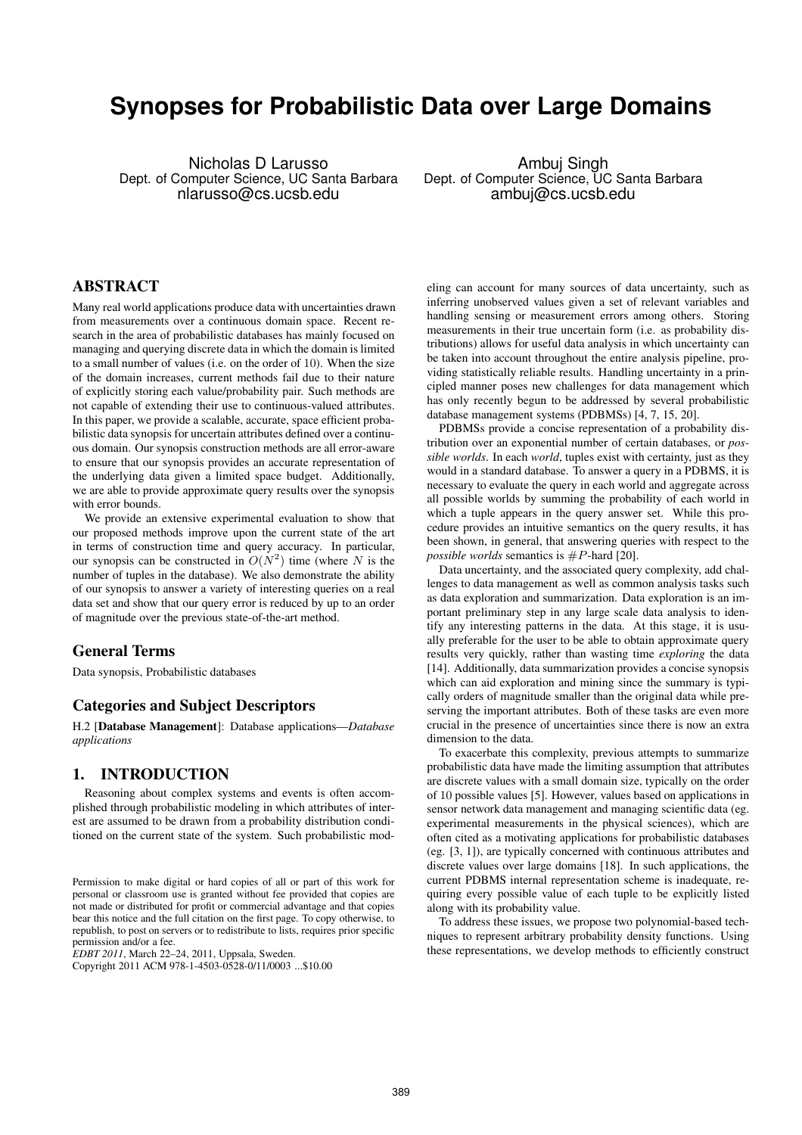# **Synopses for Probabilistic Data over Large Domains**

Nicholas D Larusso Dept. of Computer Science, UC Santa Barbara nlarusso@cs.ucsb.edu

Ambuj Singh Dept. of Computer Science, UC Santa Barbara ambuj@cs.ucsb.edu

# **ABSTRACT**

Many real world applications produce data with uncertainties drawn from measurements over a continuous domain space. Recent research in the area of probabilistic databases has mainly focused on managing and querying discrete data in which the domain is limited to a small number of values (i.e. on the order of 10). When the size of the domain increases, current methods fail due to their nature of explicitly storing each value/probability pair. Such methods are not capable of extending their use to continuous-valued attributes. In this paper, we provide a scalable, accurate, space efficient probabilistic data synopsis for uncertain attributes defined over a continuous domain. Our synopsis construction methods are all error-aware to ensure that our synopsis provides an accurate representation of the underlying data given a limited space budget. Additionally, we are able to provide approximate query results over the synopsis with error bounds.

We provide an extensive experimental evaluation to show that our proposed methods improve upon the current state of the art in terms of construction time and query accuracy. In particular, our synopsis can be constructed in  $O(N^2)$  time (where N is the number of tuples in the database). We also demonstrate the ability of our synopsis to answer a variety of interesting queries on a real data set and show that our query error is reduced by up to an order of magnitude over the previous state-of-the-art method.

# **General Terms**

Data synopsis, Probabilistic databases

# **Categories and Subject Descriptors**

H.2 [**Database Management**]: Database applications—*Database applications*

#### **1. INTRODUCTION**

Reasoning about complex systems and events is often accomplished through probabilistic modeling in which attributes of interest are assumed to be drawn from a probability distribution conditioned on the current state of the system. Such probabilistic mod-

*EDBT 2011*, March 22–24, 2011, Uppsala, Sweden.

Copyright 2011 ACM 978-1-4503-0528-0/11/0003 ...\$10.00

eling can account for many sources of data uncertainty, such as inferring unobserved values given a set of relevant variables and handling sensing or measurement errors among others. Storing measurements in their true uncertain form (i.e. as probability distributions) allows for useful data analysis in which uncertainty can be taken into account throughout the entire analysis pipeline, providing statistically reliable results. Handling uncertainty in a principled manner poses new challenges for data management which has only recently begun to be addressed by several probabilistic database management systems (PDBMSs) [4, 7, 15, 20].

PDBMSs provide a concise representation of a probability distribution over an exponential number of certain databases, or *possible worlds*. In each *world*, tuples exist with certainty, just as they would in a standard database. To answer a query in a PDBMS, it is necessary to evaluate the query in each world and aggregate across all possible worlds by summing the probability of each world in which a tuple appears in the query answer set. While this procedure provides an intuitive semantics on the query results, it has been shown, in general, that answering queries with respect to the *possible worlds* semantics is  $#P$ -hard [20].

Data uncertainty, and the associated query complexity, add challenges to data management as well as common analysis tasks such as data exploration and summarization. Data exploration is an important preliminary step in any large scale data analysis to identify any interesting patterns in the data. At this stage, it is usually preferable for the user to be able to obtain approximate query results very quickly, rather than wasting time *exploring* the data [14]. Additionally, data summarization provides a concise synopsis which can aid exploration and mining since the summary is typically orders of magnitude smaller than the original data while preserving the important attributes. Both of these tasks are even more crucial in the presence of uncertainties since there is now an extra dimension to the data.

To exacerbate this complexity, previous attempts to summarize probabilistic data have made the limiting assumption that attributes are discrete values with a small domain size, typically on the order of 10 possible values [5]. However, values based on applications in sensor network data management and managing scientific data (eg. experimental measurements in the physical sciences), which are often cited as a motivating applications for probabilistic databases (eg. [3, 1]), are typically concerned with continuous attributes and discrete values over large domains [18]. In such applications, the current PDBMS internal representation scheme is inadequate, requiring every possible value of each tuple to be explicitly listed along with its probability value.

To address these issues, we propose two polynomial-based techniques to represent arbitrary probability density functions. Using these representations, we develop methods to efficiently construct

Permission to make digital or hard copies of all or part of this work for personal or classroom use is granted without fee provided that copies are not made or distributed for profit or commercial advantage and that copies bear this notice and the full citation on the first page. To copy otherwise, to republish, to post on servers or to redistribute to lists, requires prior specific permission and/or a fee.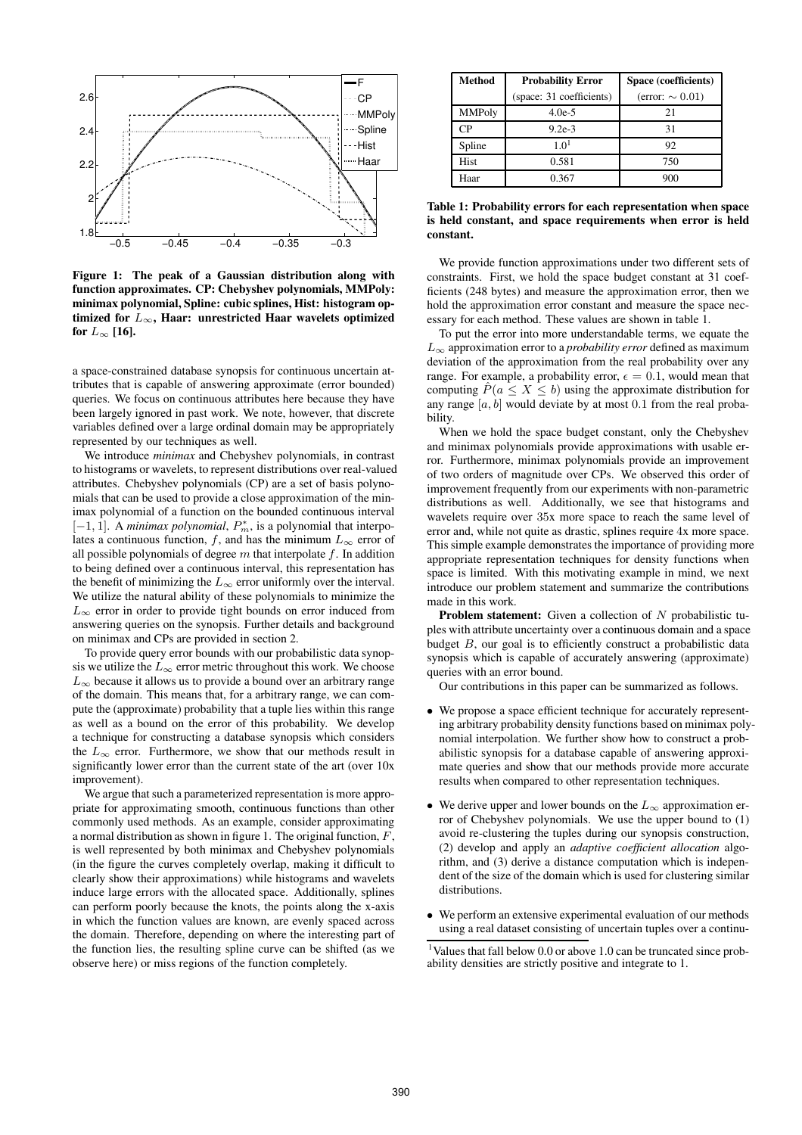

**Figure 1: The peak of a Gaussian distribution along with function approximates. CP: Chebyshev polynomials, MMPoly: minimax polynomial, Spline: cubic splines, Hist: histogram optimized for** L∞**, Haar: unrestricted Haar wavelets optimized** for  $L_{\infty}$  [16].

a space-constrained database synopsis for continuous uncertain attributes that is capable of answering approximate (error bounded) queries. We focus on continuous attributes here because they have been largely ignored in past work. We note, however, that discrete variables defined over a large ordinal domain may be appropriately represented by our techniques as well.

We introduce *minimax* and Chebyshev polynomials, in contrast to histograms or wavelets, to represent distributions over real-valued attributes. Chebyshev polynomials (CP) are a set of basis polynomials that can be used to provide a close approximation of the minimax polynomial of a function on the bounded continuous interval [ $-1, 1$ ]. A *minimax polynomial*,  $P_m^*$ , is a polynomial that interpolates a continuous function, f, and has the minimum  $L_{\infty}$  error of all possible polynomials of degree  $m$  that interpolate  $f$ . In addition to being defined over a continuous interval, this representation has the benefit of minimizing the  $L_{\infty}$  error uniformly over the interval. We utilize the natural ability of these polynomials to minimize the  $L_{\infty}$  error in order to provide tight bounds on error induced from answering queries on the synopsis. Further details and background on minimax and CPs are provided in section 2.

To provide query error bounds with our probabilistic data synopsis we utilize the  $L_{\infty}$  error metric throughout this work. We choose  $L_{\infty}$  because it allows us to provide a bound over an arbitrary range of the domain. This means that, for a arbitrary range, we can compute the (approximate) probability that a tuple lies within this range as well as a bound on the error of this probability. We develop a technique for constructing a database synopsis which considers the  $L_{\infty}$  error. Furthermore, we show that our methods result in significantly lower error than the current state of the art (over 10x improvement).

We argue that such a parameterized representation is more appropriate for approximating smooth, continuous functions than other commonly used methods. As an example, consider approximating a normal distribution as shown in figure 1. The original function,  $F$ , is well represented by both minimax and Chebyshev polynomials (in the figure the curves completely overlap, making it difficult to clearly show their approximations) while histograms and wavelets induce large errors with the allocated space. Additionally, splines can perform poorly because the knots, the points along the x-axis in which the function values are known, are evenly spaced across the domain. Therefore, depending on where the interesting part of the function lies, the resulting spline curve can be shifted (as we observe here) or miss regions of the function completely.

| <b>Method</b>  | <b>Probability Error</b> | Space (coefficients)  |  |
|----------------|--------------------------|-----------------------|--|
|                | (space: 31 coefficients) | (error: $\sim 0.01$ ) |  |
| <b>MMPoly</b>  | $4.0e-5$                 | 21                    |  |
| C <sub>P</sub> | $9.2e-3$                 | 31                    |  |
| Spline         | 1.0 <sup>1</sup>         | 92                    |  |
| <b>Hist</b>    | 0.581                    | 750                   |  |
| Haar           | 0.367                    | 900                   |  |

**Table 1: Probability errors for each representation when space is held constant, and space requirements when error is held constant.**

We provide function approximations under two different sets of constraints. First, we hold the space budget constant at 31 coefficients (248 bytes) and measure the approximation error, then we hold the approximation error constant and measure the space necessary for each method. These values are shown in table 1.

To put the error into more understandable terms, we equate the  $L_{\infty}$  approximation error to a *probability error* defined as maximum deviation of the approximation from the real probability over any range. For example, a probability error,  $\epsilon = 0.1$ , would mean that computing  $\hat{P}(a \leq X \leq b)$  using the approximate distribution for any range  $[a, b]$  would deviate by at most 0.1 from the real probability.

When we hold the space budget constant, only the Chebyshev and minimax polynomials provide approximations with usable error. Furthermore, minimax polynomials provide an improvement of two orders of magnitude over CPs. We observed this order of improvement frequently from our experiments with non-parametric distributions as well. Additionally, we see that histograms and wavelets require over 35x more space to reach the same level of error and, while not quite as drastic, splines require 4x more space. This simple example demonstrates the importance of providing more appropriate representation techniques for density functions when space is limited. With this motivating example in mind, we next introduce our problem statement and summarize the contributions made in this work.

**Problem statement:** Given a collection of N probabilistic tuples with attribute uncertainty over a continuous domain and a space budget  $B$ , our goal is to efficiently construct a probabilistic data synopsis which is capable of accurately answering (approximate) queries with an error bound.

Our contributions in this paper can be summarized as follows.

- We propose a space efficient technique for accurately representing arbitrary probability density functions based on minimax polynomial interpolation. We further show how to construct a probabilistic synopsis for a database capable of answering approximate queries and show that our methods provide more accurate results when compared to other representation techniques.
- We derive upper and lower bounds on the  $L_{\infty}$  approximation error of Chebyshev polynomials. We use the upper bound to (1) avoid re-clustering the tuples during our synopsis construction, (2) develop and apply an *adaptive coefficient allocation* algorithm, and (3) derive a distance computation which is independent of the size of the domain which is used for clustering similar distributions.
- We perform an extensive experimental evaluation of our methods using a real dataset consisting of uncertain tuples over a continu-

<sup>1</sup>Values that fall below 0.0 or above 1.0 can be truncated since probability densities are strictly positive and integrate to 1.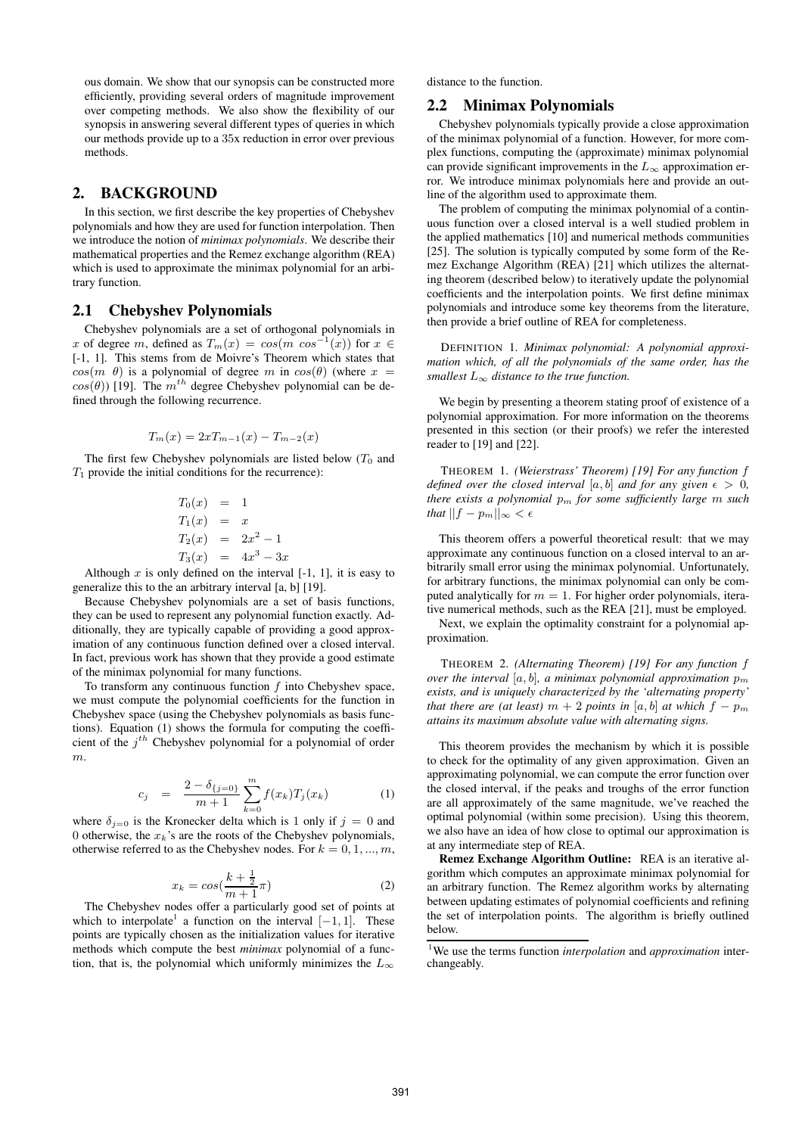ous domain. We show that our synopsis can be constructed more efficiently, providing several orders of magnitude improvement over competing methods. We also show the flexibility of our synopsis in answering several different types of queries in which our methods provide up to a 35x reduction in error over previous methods.

### **2. BACKGROUND**

In this section, we first describe the key properties of Chebyshev polynomials and how they are used for function interpolation. Then we introduce the notion of *minimax polynomials*. We describe their mathematical properties and the Remez exchange algorithm (REA) which is used to approximate the minimax polynomial for an arbitrary function.

#### **2.1 Chebyshev Polynomials**

Chebyshev polynomials are a set of orthogonal polynomials in x of degree m, defined as  $T_m(x) = cos(m \cos^{-1}(x))$  for  $x \in$ [-1, 1]. This stems from de Moivre's Theorem which states that  $cos(m \theta)$  is a polynomial of degree m in  $cos(\theta)$  (where  $x =$  $cos(\theta)$  [19]. The  $m^{th}$  degree Chebyshev polynomial can be defined through the following recurrence.

$$
T_m(x) = 2xT_{m-1}(x) - T_{m-2}(x)
$$

The first few Chebyshev polynomials are listed below  $(T_0$  and  $T_1$  provide the initial conditions for the recurrence):

$$
T_0(x) = 1\nT_1(x) = x\nT_2(x) = 2x^2 - 1\nT_3(x) = 4x^3 - 3x
$$

Although  $x$  is only defined on the interval  $[-1, 1]$ , it is easy to generalize this to the an arbitrary interval [a, b] [19].

Because Chebyshev polynomials are a set of basis functions, they can be used to represent any polynomial function exactly. Additionally, they are typically capable of providing a good approximation of any continuous function defined over a closed interval. In fact, previous work has shown that they provide a good estimate of the minimax polynomial for many functions.

To transform any continuous function  $f$  into Chebyshev space, we must compute the polynomial coefficients for the function in Chebyshev space (using the Chebyshev polynomials as basis functions). Equation (1) shows the formula for computing the coefficient of the  $j<sup>th</sup>$  Chebyshev polynomial for a polynomial of order m.

$$
c_j = \frac{2 - \delta_{\{j=0\}}}{m+1} \sum_{k=0}^{m} f(x_k) T_j(x_k) \tag{1}
$$

where  $\delta_{j=0}$  is the Kronecker delta which is 1 only if  $j = 0$  and 0 otherwise, the  $x_k$ 's are the roots of the Chebyshev polynomials, otherwise referred to as the Chebyshev nodes. For  $k = 0, 1, ..., m$ ,

$$
x_k = \cos\left(\frac{k + \frac{1}{2}}{m + 1}\pi\right) \tag{2}
$$

The Chebyshev nodes offer a particularly good set of points at which to interpolate<sup>1</sup> a function on the interval  $[-1, 1]$ . These points are typically chosen as the initialization values for iterative methods which compute the best *minimax* polynomial of a function, that is, the polynomial which uniformly minimizes the  $L_{\infty}$  distance to the function.

#### **2.2 Minimax Polynomials**

Chebyshev polynomials typically provide a close approximation of the minimax polynomial of a function. However, for more complex functions, computing the (approximate) minimax polynomial can provide significant improvements in the  $L_{\infty}$  approximation error. We introduce minimax polynomials here and provide an outline of the algorithm used to approximate them.

The problem of computing the minimax polynomial of a continuous function over a closed interval is a well studied problem in the applied mathematics [10] and numerical methods communities [25]. The solution is typically computed by some form of the Remez Exchange Algorithm (REA) [21] which utilizes the alternating theorem (described below) to iteratively update the polynomial coefficients and the interpolation points. We first define minimax polynomials and introduce some key theorems from the literature, then provide a brief outline of REA for completeness.

DEFINITION 1. *Minimax polynomial: A polynomial approximation which, of all the polynomials of the same order, has the smallest*  $L_{\infty}$  *distance to the true function.* 

We begin by presenting a theorem stating proof of existence of a polynomial approximation. For more information on the theorems presented in this section (or their proofs) we refer the interested reader to [19] and [22].

THEOREM 1. *(Weierstrass' Theorem) [19] For any function* f *defined over the closed interval* [a, b] *and for any given*  $\epsilon > 0$ *, there exists a polynomial* p<sup>m</sup> *for some sufficiently large* m *such that*  $||f - p_m||_{\infty} < \epsilon$ 

This theorem offers a powerful theoretical result: that we may approximate any continuous function on a closed interval to an arbitrarily small error using the minimax polynomial. Unfortunately, for arbitrary functions, the minimax polynomial can only be computed analytically for  $m = 1$ . For higher order polynomials, iterative numerical methods, such as the REA [21], must be employed.

Next, we explain the optimality constraint for a polynomial approximation.

THEOREM 2. *(Alternating Theorem) [19] For any function* f *over the interval*  $[a, b]$ *, a minimax polynomial approximation*  $p_m$ *exists, and is uniquely characterized by the 'alternating property' that there are (at least)*  $m + 2$  *points in* [a, b] *at which*  $f - p_m$ *attains its maximum absolute value with alternating signs.*

This theorem provides the mechanism by which it is possible to check for the optimality of any given approximation. Given an approximating polynomial, we can compute the error function over the closed interval, if the peaks and troughs of the error function are all approximately of the same magnitude, we've reached the optimal polynomial (within some precision). Using this theorem, we also have an idea of how close to optimal our approximation is at any intermediate step of REA.

**Remez Exchange Algorithm Outline:** REA is an iterative algorithm which computes an approximate minimax polynomial for an arbitrary function. The Remez algorithm works by alternating between updating estimates of polynomial coefficients and refining the set of interpolation points. The algorithm is briefly outlined below.

<sup>1</sup>We use the terms function *interpolation* and *approximation* interchangeably.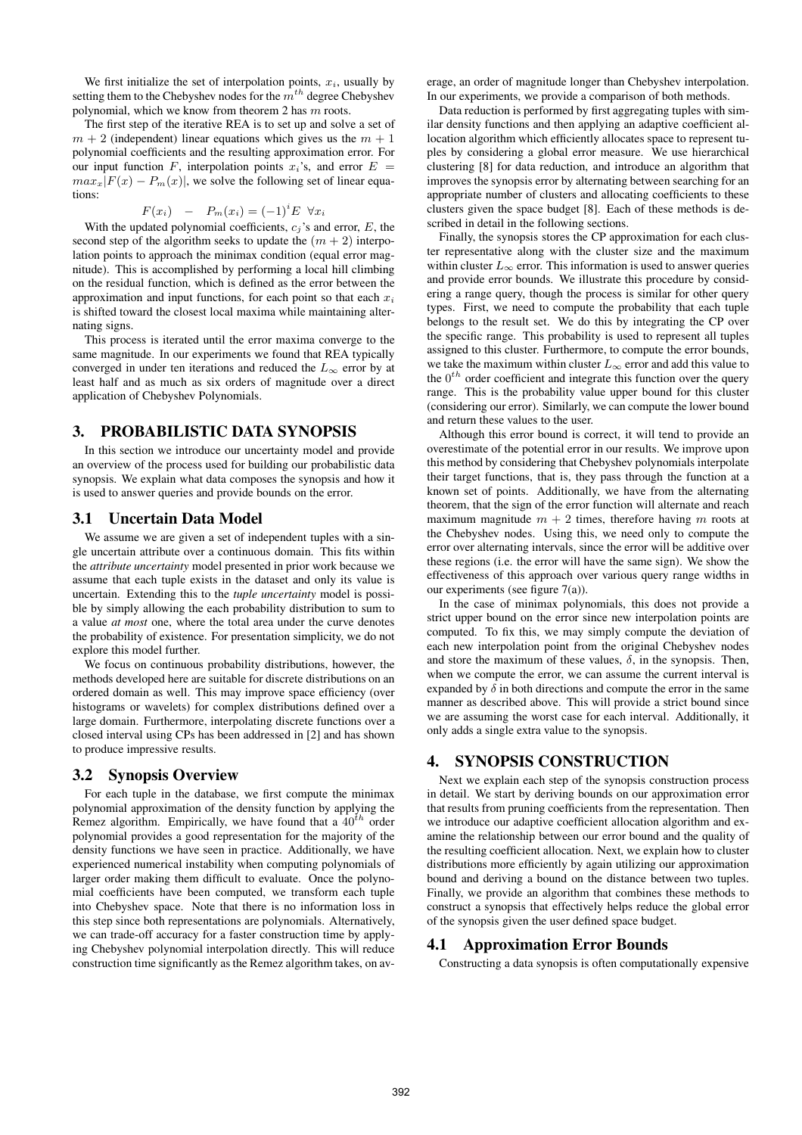We first initialize the set of interpolation points,  $x_i$ , usually by setting them to the Chebyshev nodes for the  $m^{th}$  degree Chebyshev polynomial, which we know from theorem 2 has  $m$  roots.

The first step of the iterative REA is to set up and solve a set of  $m + 2$  (independent) linear equations which gives us the  $m + 1$ polynomial coefficients and the resulting approximation error. For our input function F, interpolation points  $x_i$ 's, and error  $E =$  $max_x|F(x) - P_m(x)|$ , we solve the following set of linear equations:

$$
F(x_i) - P_m(x_i) = (-1)^i E \ \forall x_i
$$

With the updated polynomial coefficients,  $c_i$ 's and error,  $E$ , the second step of the algorithm seeks to update the  $(m + 2)$  interpolation points to approach the minimax condition (equal error magnitude). This is accomplished by performing a local hill climbing on the residual function, which is defined as the error between the approximation and input functions, for each point so that each  $x_i$ is shifted toward the closest local maxima while maintaining alternating signs.

This process is iterated until the error maxima converge to the same magnitude. In our experiments we found that REA typically converged in under ten iterations and reduced the  $L_{\infty}$  error by at least half and as much as six orders of magnitude over a direct application of Chebyshev Polynomials.

#### **3. PROBABILISTIC DATA SYNOPSIS**

In this section we introduce our uncertainty model and provide an overview of the process used for building our probabilistic data synopsis. We explain what data composes the synopsis and how it is used to answer queries and provide bounds on the error.

#### **3.1 Uncertain Data Model**

We assume we are given a set of independent tuples with a single uncertain attribute over a continuous domain. This fits within the *attribute uncertainty* model presented in prior work because we assume that each tuple exists in the dataset and only its value is uncertain. Extending this to the *tuple uncertainty* model is possible by simply allowing the each probability distribution to sum to a value *at most* one, where the total area under the curve denotes the probability of existence. For presentation simplicity, we do not explore this model further.

We focus on continuous probability distributions, however, the methods developed here are suitable for discrete distributions on an ordered domain as well. This may improve space efficiency (over histograms or wavelets) for complex distributions defined over a large domain. Furthermore, interpolating discrete functions over a closed interval using CPs has been addressed in [2] and has shown to produce impressive results.

#### **3.2 Synopsis Overview**

For each tuple in the database, we first compute the minimax polynomial approximation of the density function by applying the Remez algorithm. Empirically, we have found that a  $40^{th}$  order polynomial provides a good representation for the majority of the density functions we have seen in practice. Additionally, we have experienced numerical instability when computing polynomials of larger order making them difficult to evaluate. Once the polynomial coefficients have been computed, we transform each tuple into Chebyshev space. Note that there is no information loss in this step since both representations are polynomials. Alternatively, we can trade-off accuracy for a faster construction time by applying Chebyshev polynomial interpolation directly. This will reduce construction time significantly as the Remez algorithm takes, on av-

erage, an order of magnitude longer than Chebyshev interpolation. In our experiments, we provide a comparison of both methods.

Data reduction is performed by first aggregating tuples with similar density functions and then applying an adaptive coefficient allocation algorithm which efficiently allocates space to represent tuples by considering a global error measure. We use hierarchical clustering [8] for data reduction, and introduce an algorithm that improves the synopsis error by alternating between searching for an appropriate number of clusters and allocating coefficients to these clusters given the space budget [8]. Each of these methods is described in detail in the following sections.

Finally, the synopsis stores the CP approximation for each cluster representative along with the cluster size and the maximum within cluster  $L_{\infty}$  error. This information is used to answer queries and provide error bounds. We illustrate this procedure by considering a range query, though the process is similar for other query types. First, we need to compute the probability that each tuple belongs to the result set. We do this by integrating the CP over the specific range. This probability is used to represent all tuples assigned to this cluster. Furthermore, to compute the error bounds, we take the maximum within cluster  $L_{\infty}$  error and add this value to the  $0<sup>th</sup>$  order coefficient and integrate this function over the query range. This is the probability value upper bound for this cluster (considering our error). Similarly, we can compute the lower bound and return these values to the user.

Although this error bound is correct, it will tend to provide an overestimate of the potential error in our results. We improve upon this method by considering that Chebyshev polynomials interpolate their target functions, that is, they pass through the function at a known set of points. Additionally, we have from the alternating theorem, that the sign of the error function will alternate and reach maximum magnitude  $m + 2$  times, therefore having m roots at the Chebyshev nodes. Using this, we need only to compute the error over alternating intervals, since the error will be additive over these regions (i.e. the error will have the same sign). We show the effectiveness of this approach over various query range widths in our experiments (see figure 7(a)).

In the case of minimax polynomials, this does not provide a strict upper bound on the error since new interpolation points are computed. To fix this, we may simply compute the deviation of each new interpolation point from the original Chebyshev nodes and store the maximum of these values,  $\delta$ , in the synopsis. Then, when we compute the error, we can assume the current interval is expanded by  $\delta$  in both directions and compute the error in the same manner as described above. This will provide a strict bound since we are assuming the worst case for each interval. Additionally, it only adds a single extra value to the synopsis.

# **4. SYNOPSIS CONSTRUCTION**

Next we explain each step of the synopsis construction process in detail. We start by deriving bounds on our approximation error that results from pruning coefficients from the representation. Then we introduce our adaptive coefficient allocation algorithm and examine the relationship between our error bound and the quality of the resulting coefficient allocation. Next, we explain how to cluster distributions more efficiently by again utilizing our approximation bound and deriving a bound on the distance between two tuples. Finally, we provide an algorithm that combines these methods to construct a synopsis that effectively helps reduce the global error of the synopsis given the user defined space budget.

#### **4.1 Approximation Error Bounds**

Constructing a data synopsis is often computationally expensive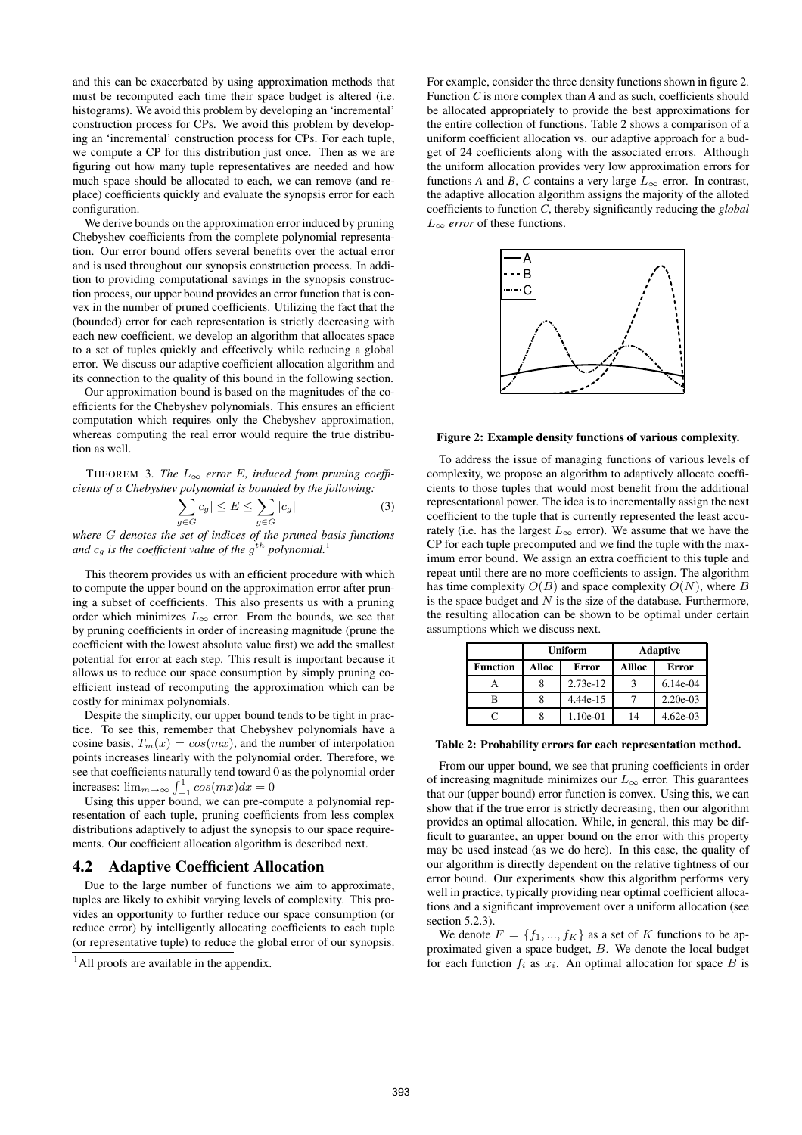and this can be exacerbated by using approximation methods that must be recomputed each time their space budget is altered (i.e. histograms). We avoid this problem by developing an 'incremental' construction process for CPs. We avoid this problem by developing an 'incremental' construction process for CPs. For each tuple, we compute a CP for this distribution just once. Then as we are figuring out how many tuple representatives are needed and how much space should be allocated to each, we can remove (and replace) coefficients quickly and evaluate the synopsis error for each configuration.

We derive bounds on the approximation error induced by pruning Chebyshev coefficients from the complete polynomial representation. Our error bound offers several benefits over the actual error and is used throughout our synopsis construction process. In addition to providing computational savings in the synopsis construction process, our upper bound provides an error function that is convex in the number of pruned coefficients. Utilizing the fact that the (bounded) error for each representation is strictly decreasing with each new coefficient, we develop an algorithm that allocates space to a set of tuples quickly and effectively while reducing a global error. We discuss our adaptive coefficient allocation algorithm and its connection to the quality of this bound in the following section.

Our approximation bound is based on the magnitudes of the coefficients for the Chebyshev polynomials. This ensures an efficient computation which requires only the Chebyshev approximation, whereas computing the real error would require the true distribution as well.

THEOREM 3. *The*  $L_{\infty}$  *error E*, *induced from pruning coefficients of a Chebyshev polynomial is bounded by the following:*

$$
|\sum_{g \in G} c_g| \le E \le \sum_{g \in G} |c_g| \tag{3}
$$

*where* G *denotes the set of indices of the pruned basis functions* and  $c_g$  is the coefficient value of the  $g^{th}$  polynomial.<sup>1</sup>

This theorem provides us with an efficient procedure with which to compute the upper bound on the approximation error after pruning a subset of coefficients. This also presents us with a pruning order which minimizes  $L_{\infty}$  error. From the bounds, we see that by pruning coefficients in order of increasing magnitude (prune the coefficient with the lowest absolute value first) we add the smallest potential for error at each step. This result is important because it allows us to reduce our space consumption by simply pruning coefficient instead of recomputing the approximation which can be costly for minimax polynomials.

Despite the simplicity, our upper bound tends to be tight in practice. To see this, remember that Chebyshev polynomials have a cosine basis,  $T_m(x) = cos(mx)$ , and the number of interpolation points increases linearly with the polynomial order. Therefore, we see that coefficients naturally tend toward 0 as the polynomial order increases:  $\lim_{m\to\infty} \int_{-1}^{1} \cos(mx) dx = 0$ 

Using this upper bound, we can pre-compute a polynomial representation of each tuple, pruning coefficients from less complex distributions adaptively to adjust the synopsis to our space requirements. Our coefficient allocation algorithm is described next.

#### **4.2 Adaptive Coefficient Allocation**

Due to the large number of functions we aim to approximate, tuples are likely to exhibit varying levels of complexity. This provides an opportunity to further reduce our space consumption (or reduce error) by intelligently allocating coefficients to each tuple (or representative tuple) to reduce the global error of our synopsis.

For example, consider the three density functions shown in figure 2. Function *C* is more complex than *A* and as such, coefficients should be allocated appropriately to provide the best approximations for the entire collection of functions. Table 2 shows a comparison of a uniform coefficient allocation vs. our adaptive approach for a budget of 24 coefficients along with the associated errors. Although the uniform allocation provides very low approximation errors for functions *A* and *B*, *C* contains a very large  $L_{\infty}$  error. In contrast, the adaptive allocation algorithm assigns the majority of the alloted coefficients to function *C*, thereby significantly reducing the *global*  $L_{\infty}$  *error* of these functions.



#### **Figure 2: Example density functions of various complexity.**

To address the issue of managing functions of various levels of complexity, we propose an algorithm to adaptively allocate coefficients to those tuples that would most benefit from the additional representational power. The idea is to incrementally assign the next coefficient to the tuple that is currently represented the least accurately (i.e. has the largest  $L_{\infty}$  error). We assume that we have the CP for each tuple precomputed and we find the tuple with the maximum error bound. We assign an extra coefficient to this tuple and repeat until there are no more coefficients to assign. The algorithm has time complexity  $O(B)$  and space complexity  $O(N)$ , where B is the space budget and  $N$  is the size of the database. Furthermore, the resulting allocation can be shown to be optimal under certain assumptions which we discuss next.

|                 | <b>Uniform</b> |          | <b>Adaptive</b> |            |
|-----------------|----------------|----------|-----------------|------------|
| <b>Function</b> | Alloc          | Error    | Allloc          | Error      |
|                 |                | 2.73e-12 |                 | $6.14e-04$ |
| В               |                | 4.44e-15 |                 | $2.20e-03$ |
|                 |                | 1.10e-01 | 14              | $4.62e-03$ |

#### **Table 2: Probability errors for each representation method.**

From our upper bound, we see that pruning coefficients in order of increasing magnitude minimizes our  $L_{\infty}$  error. This guarantees that our (upper bound) error function is convex. Using this, we can show that if the true error is strictly decreasing, then our algorithm provides an optimal allocation. While, in general, this may be difficult to guarantee, an upper bound on the error with this property may be used instead (as we do here). In this case, the quality of our algorithm is directly dependent on the relative tightness of our error bound. Our experiments show this algorithm performs very well in practice, typically providing near optimal coefficient allocations and a significant improvement over a uniform allocation (see section 5.2.3)

We denote  $F = \{f_1, ..., f_K\}$  as a set of K functions to be approximated given a space budget,  $B$ . We denote the local budget for each function  $f_i$  as  $x_i$ . An optimal allocation for space  $B$  is

 $<sup>1</sup>$ All proofs are available in the appendix.</sup>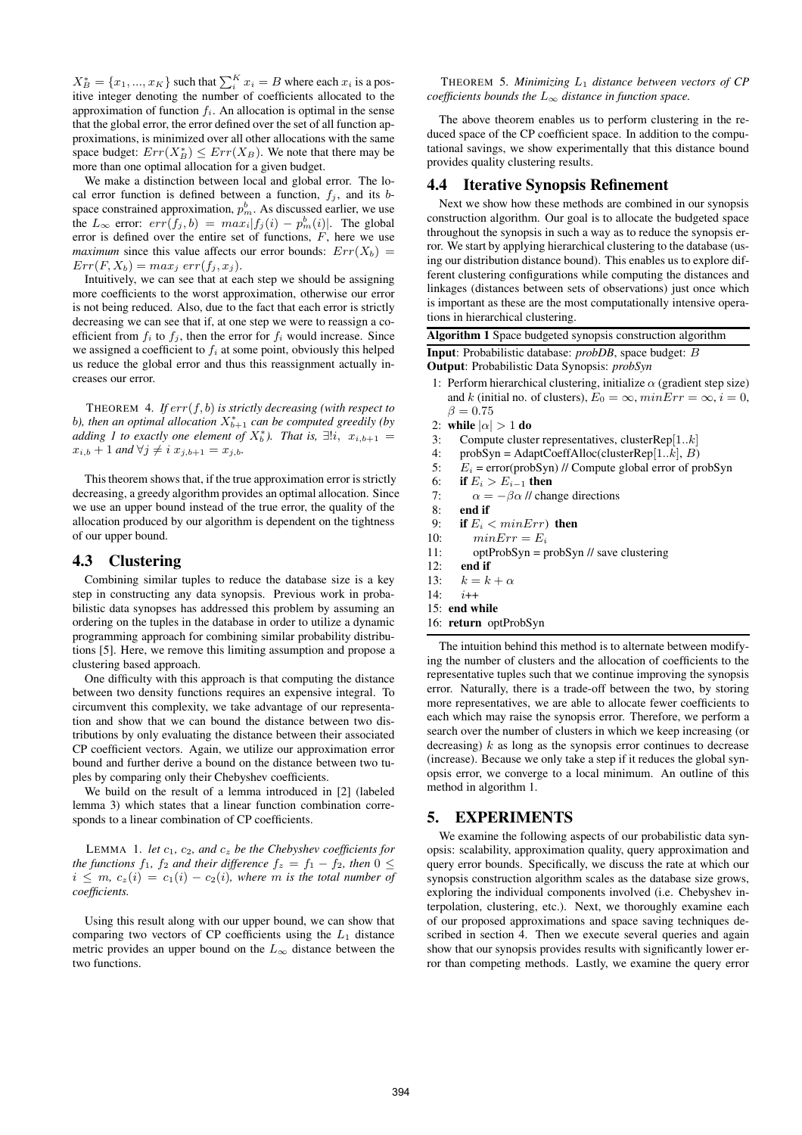$X_B^* = \{x_1, ..., x_K\}$  such that  $\sum_i^K x_i = B$  where each  $x_i$  is a positive integer denoting the number of coefficients allocated to the approximation of function  $f_i$ . An allocation is optimal in the sense that the global error, the error defined over the set of all function approximations, is minimized over all other allocations with the same space budget:  $Err(X_B^*) \leq Err(X_B)$ . We note that there may be more than one optimal allocation for a given budget.

We make a distinction between local and global error. The local error function is defined between a function,  $f_j$ , and its bspace constrained approximation,  $p_m^b$ . As discussed earlier, we use the  $L_{\infty}$  error:  $err(f_j, b) = max_i |f_j(i) - p_m^b(i)|$ . The global error is defined over the entire set of functions,  $F$ , here we use *maximum* since this value affects our error bounds:  $Err(X_b)$  =  $Err(F, X_b) = max_j err(f_j, x_j).$ 

Intuitively, we can see that at each step we should be assigning more coefficients to the worst approximation, otherwise our error is not being reduced. Also, due to the fact that each error is strictly decreasing we can see that if, at one step we were to reassign a coefficient from  $f_i$  to  $f_j$ , then the error for  $f_i$  would increase. Since we assigned a coefficient to  $f_i$  at some point, obviously this helped us reduce the global error and thus this reassignment actually increases our error.

THEOREM 4. *If* err(f, b) *is strictly decreasing (with respect to* b), then an optimal allocation  $X_{b+1}^*$  can be computed greedily (by *adding 1 to exactly one element of*  $X_b^*$ ). That is,  $\exists ! i, x_{i,b+1} =$  $x_{i,b} + 1$  *and*  $\forall j \neq i$   $x_{j,b+1} = x_{j,b}$ *.* 

This theorem shows that, if the true approximation error is strictly decreasing, a greedy algorithm provides an optimal allocation. Since we use an upper bound instead of the true error, the quality of the allocation produced by our algorithm is dependent on the tightness of our upper bound.

# **4.3 Clustering**

Combining similar tuples to reduce the database size is a key step in constructing any data synopsis. Previous work in probabilistic data synopses has addressed this problem by assuming an ordering on the tuples in the database in order to utilize a dynamic programming approach for combining similar probability distributions [5]. Here, we remove this limiting assumption and propose a clustering based approach.

One difficulty with this approach is that computing the distance between two density functions requires an expensive integral. To circumvent this complexity, we take advantage of our representation and show that we can bound the distance between two distributions by only evaluating the distance between their associated CP coefficient vectors. Again, we utilize our approximation error bound and further derive a bound on the distance between two tuples by comparing only their Chebyshev coefficients.

We build on the result of a lemma introduced in [2] (labeled lemma 3) which states that a linear function combination corresponds to a linear combination of CP coefficients.

LEMMA 1. *let*  $c_1$ ,  $c_2$ , and  $c_z$  *be the Chebyshev coefficients for the functions*  $f_1$ ,  $f_2$  *and their difference*  $f_z = f_1 - f_2$ *, then*  $0 \leq$  $i \leq m$ ,  $c_z(i) = c_1(i) - c_2(i)$ , where m is the total number of *coefficients.*

Using this result along with our upper bound, we can show that comparing two vectors of  $CP$  coefficients using the  $L_1$  distance metric provides an upper bound on the  $L_{\infty}$  distance between the two functions.

THEOREM 5. *Minimizing* L<sup>1</sup> *distance between vectors of CP coefficients bounds the*  $L_{\infty}$  *distance in function space.* 

The above theorem enables us to perform clustering in the reduced space of the CP coefficient space. In addition to the computational savings, we show experimentally that this distance bound provides quality clustering results.

#### **4.4 Iterative Synopsis Refinement**

Next we show how these methods are combined in our synopsis construction algorithm. Our goal is to allocate the budgeted space throughout the synopsis in such a way as to reduce the synopsis error. We start by applying hierarchical clustering to the database (using our distribution distance bound). This enables us to explore different clustering configurations while computing the distances and linkages (distances between sets of observations) just once which is important as these are the most computationally intensive operations in hierarchical clustering.

**Algorithm 1** Space budgeted synopsis construction algorithm

**Input**: Probabilistic database: *probDB*, space budget: B **Output**: Probabilistic Data Synopsis: *probSyn*

- 1: Perform hierarchical clustering, initialize  $\alpha$  (gradient step size) and k (initial no. of clusters),  $E_0 = \infty$ ,  $minErr = \infty$ ,  $i = 0$ ,  $\beta = 0.75$
- 2: **while**  $|\alpha| > 1$  **do**
- 3: Compute cluster representatives, clusterRep $[1..k]$
- 4: probSyn = AdaptCoeffAlloc(clusterRep[1..k],  $B$ )
- 5:  $E_i = \text{error}(\text{probSyn})$  // Compute global error of probSyn
- 6: **if**  $E_i > E_{i-1}$  **then**
- 7:  $\alpha = -\beta \alpha$  // change directions
- 8: **end if**
- 9: **if**  $E_i < minErr$  then<br>10:  $minErr = E_i$
- $minErr = E_i$
- 11: optProbSyn = probSyn // save clustering
- 12: **end if**
- 13:  $k = k + \alpha$
- 14:  $i++$
- 15: **end while**
- 16: **return** optProbSyn

The intuition behind this method is to alternate between modifying the number of clusters and the allocation of coefficients to the representative tuples such that we continue improving the synopsis error. Naturally, there is a trade-off between the two, by storing more representatives, we are able to allocate fewer coefficients to each which may raise the synopsis error. Therefore, we perform a search over the number of clusters in which we keep increasing (or decreasing)  $k$  as long as the synopsis error continues to decrease (increase). Because we only take a step if it reduces the global synopsis error, we converge to a local minimum. An outline of this method in algorithm 1.

# **5. EXPERIMENTS**

We examine the following aspects of our probabilistic data synopsis: scalability, approximation quality, query approximation and query error bounds. Specifically, we discuss the rate at which our synopsis construction algorithm scales as the database size grows, exploring the individual components involved (i.e. Chebyshev interpolation, clustering, etc.). Next, we thoroughly examine each of our proposed approximations and space saving techniques described in section 4. Then we execute several queries and again show that our synopsis provides results with significantly lower error than competing methods. Lastly, we examine the query error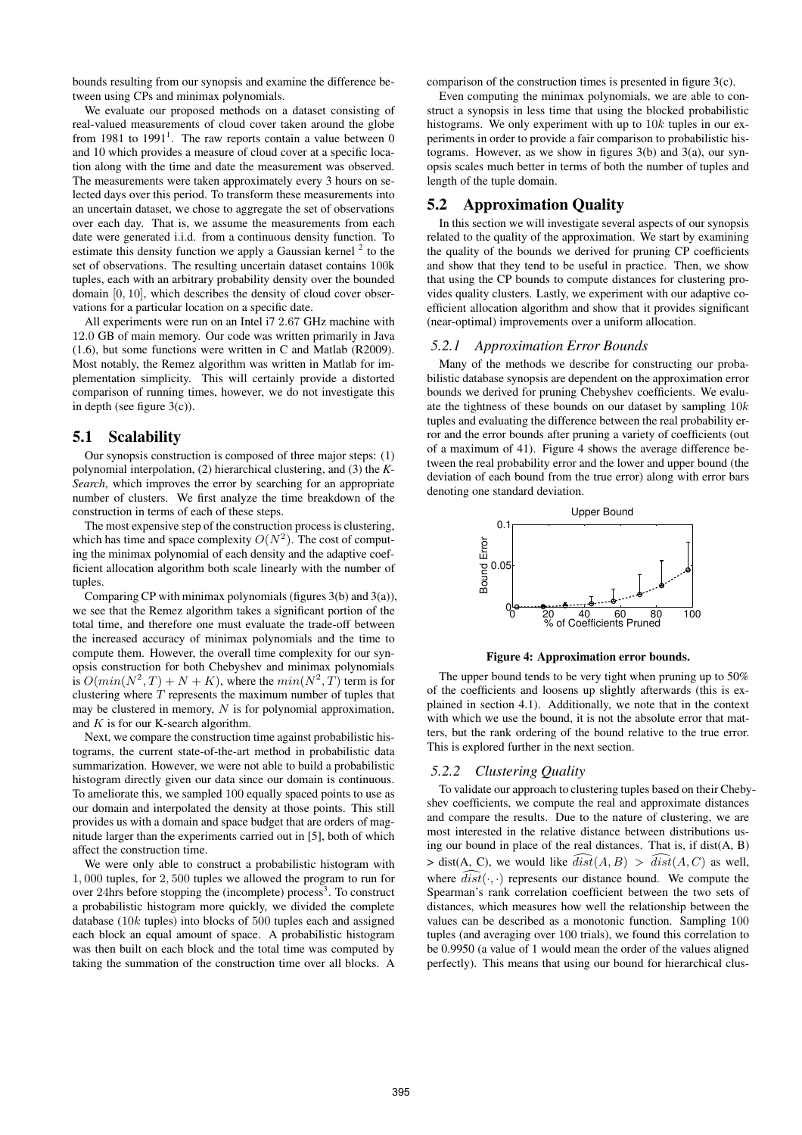bounds resulting from our synopsis and examine the difference between using CPs and minimax polynomials.

We evaluate our proposed methods on a dataset consisting of real-valued measurements of cloud cover taken around the globe from 1981 to  $1991<sup>1</sup>$ . The raw reports contain a value between 0 and 10 which provides a measure of cloud cover at a specific location along with the time and date the measurement was observed. The measurements were taken approximately every 3 hours on selected days over this period. To transform these measurements into an uncertain dataset, we chose to aggregate the set of observations over each day. That is, we assume the measurements from each date were generated i.i.d. from a continuous density function. To estimate this density function we apply a Gaussian kernel  $2$  to the set of observations. The resulting uncertain dataset contains 100k tuples, each with an arbitrary probability density over the bounded domain [0, 10], which describes the density of cloud cover observations for a particular location on a specific date.

All experiments were run on an Intel i7 2.67 GHz machine with 12.0 GB of main memory. Our code was written primarily in Java (1.6), but some functions were written in C and Matlab (R2009). Most notably, the Remez algorithm was written in Matlab for implementation simplicity. This will certainly provide a distorted comparison of running times, however, we do not investigate this in depth (see figure  $3(c)$ ).

# **5.1 Scalability**

Our synopsis construction is composed of three major steps: (1) polynomial interpolation, (2) hierarchical clustering, and (3) the *K-Search*, which improves the error by searching for an appropriate number of clusters. We first analyze the time breakdown of the construction in terms of each of these steps.

The most expensive step of the construction process is clustering, which has time and space complexity  $O(N^2)$ . The cost of computing the minimax polynomial of each density and the adaptive coefficient allocation algorithm both scale linearly with the number of tuples.

Comparing CP with minimax polynomials (figures 3(b) and 3(a)), we see that the Remez algorithm takes a significant portion of the total time, and therefore one must evaluate the trade-off between the increased accuracy of minimax polynomials and the time to compute them. However, the overall time complexity for our synopsis construction for both Chebyshev and minimax polynomials is  $O(min(N^2, T) + N + K)$ , where the  $min(N^2, T)$  term is for clustering where  $T$  represents the maximum number of tuples that may be clustered in memory,  $N$  is for polynomial approximation, and  $K$  is for our K-search algorithm.

Next, we compare the construction time against probabilistic histograms, the current state-of-the-art method in probabilistic data summarization. However, we were not able to build a probabilistic histogram directly given our data since our domain is continuous. To ameliorate this, we sampled 100 equally spaced points to use as our domain and interpolated the density at those points. This still provides us with a domain and space budget that are orders of magnitude larger than the experiments carried out in [5], both of which affect the construction time.

We were only able to construct a probabilistic histogram with 1, 000 tuples, for 2, 500 tuples we allowed the program to run for over 24hrs before stopping the (incomplete) process<sup>3</sup>. To construct a probabilistic histogram more quickly, we divided the complete database (10k tuples) into blocks of 500 tuples each and assigned each block an equal amount of space. A probabilistic histogram was then built on each block and the total time was computed by taking the summation of the construction time over all blocks. A comparison of the construction times is presented in figure 3(c).

Even computing the minimax polynomials, we are able to construct a synopsis in less time that using the blocked probabilistic histograms. We only experiment with up to  $10k$  tuples in our experiments in order to provide a fair comparison to probabilistic histograms. However, as we show in figures 3(b) and 3(a), our synopsis scales much better in terms of both the number of tuples and length of the tuple domain.

# **5.2 Approximation Quality**

In this section we will investigate several aspects of our synopsis related to the quality of the approximation. We start by examining the quality of the bounds we derived for pruning CP coefficients and show that they tend to be useful in practice. Then, we show that using the CP bounds to compute distances for clustering provides quality clusters. Lastly, we experiment with our adaptive coefficient allocation algorithm and show that it provides significant (near-optimal) improvements over a uniform allocation.

#### *5.2.1 Approximation Error Bounds*

Many of the methods we describe for constructing our probabilistic database synopsis are dependent on the approximation error bounds we derived for pruning Chebyshev coefficients. We evaluate the tightness of these bounds on our dataset by sampling  $10k$ tuples and evaluating the difference between the real probability error and the error bounds after pruning a variety of coefficients (out of a maximum of 41). Figure 4 shows the average difference between the real probability error and the lower and upper bound (the deviation of each bound from the true error) along with error bars denoting one standard deviation.



**Figure 4: Approximation error bounds.**

The upper bound tends to be very tight when pruning up to 50% of the coefficients and loosens up slightly afterwards (this is explained in section 4.1). Additionally, we note that in the context with which we use the bound, it is not the absolute error that matters, but the rank ordering of the bound relative to the true error. This is explored further in the next section.

#### *5.2.2 Clustering Quality*

To validate our approach to clustering tuples based on their Chebyshev coefficients, we compute the real and approximate distances and compare the results. Due to the nature of clustering, we are most interested in the relative distance between distributions using our bound in place of the real distances. That is, if dist(A, B)  $>$  dist(A, C), we would like  $\widehat{dist}(A, B) > \widehat{dist}(A, C)$  as well, where  $\widehat{dist}(\cdot, \cdot)$  represents our distance bound. We compute the Spearman's rank correlation coefficient between the two sets of distances, which measures how well the relationship between the values can be described as a monotonic function. Sampling 100 tuples (and averaging over 100 trials), we found this correlation to be 0.9950 (a value of 1 would mean the order of the values aligned perfectly). This means that using our bound for hierarchical clus-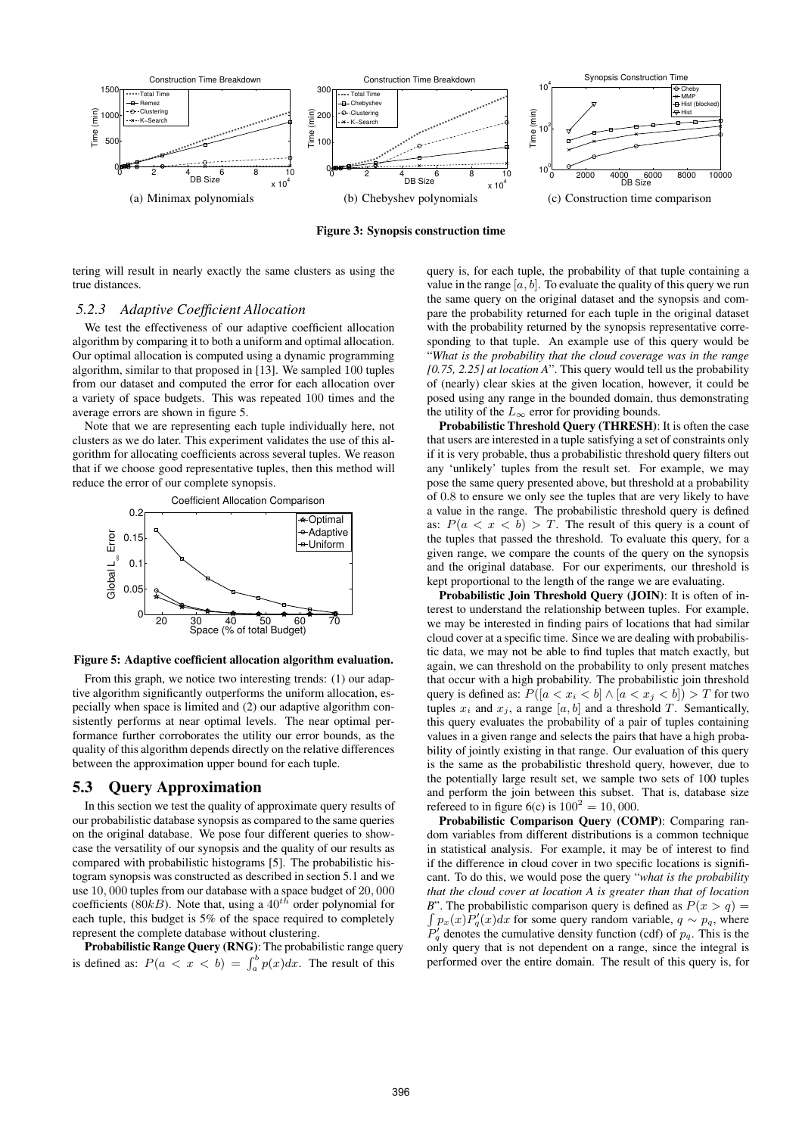

**Figure 3: Synopsis construction time**

tering will result in nearly exactly the same clusters as using the true distances.

#### *5.2.3 Adaptive Coefficient Allocation*

We test the effectiveness of our adaptive coefficient allocation algorithm by comparing it to both a uniform and optimal allocation. Our optimal allocation is computed using a dynamic programming algorithm, similar to that proposed in [13]. We sampled 100 tuples from our dataset and computed the error for each allocation over a variety of space budgets. This was repeated 100 times and the average errors are shown in figure 5.

Note that we are representing each tuple individually here, not clusters as we do later. This experiment validates the use of this algorithm for allocating coefficients across several tuples. We reason that if we choose good representative tuples, then this method will reduce the error of our complete synopsis.



**Figure 5: Adaptive coefficient allocation algorithm evaluation.**

From this graph, we notice two interesting trends: (1) our adaptive algorithm significantly outperforms the uniform allocation, especially when space is limited and (2) our adaptive algorithm consistently performs at near optimal levels. The near optimal performance further corroborates the utility our error bounds, as the quality of this algorithm depends directly on the relative differences between the approximation upper bound for each tuple.

### **5.3 Query Approximation**

In this section we test the quality of approximate query results of our probabilistic database synopsis as compared to the same queries on the original database. We pose four different queries to showcase the versatility of our synopsis and the quality of our results as compared with probabilistic histograms [5]. The probabilistic histogram synopsis was constructed as described in section 5.1 and we use 10, 000 tuples from our database with a space budget of 20, 000 coefficients (80kB). Note that, using a  $40^{t\bar{h}}$  order polynomial for each tuple, this budget is 5% of the space required to completely represent the complete database without clustering.

**Probabilistic Range Query (RNG)**: The probabilistic range query is defined as:  $P(a \lt x \lt b) = \int_a^b p(x) dx$ . The result of this

query is, for each tuple, the probability of that tuple containing a value in the range  $[a, b]$ . To evaluate the quality of this query we run the same query on the original dataset and the synopsis and compare the probability returned for each tuple in the original dataset with the probability returned by the synopsis representative corresponding to that tuple. An example use of this query would be "*What is the probability that the cloud coverage was in the range [0.75, 2.25] at location A*". This query would tell us the probability of (nearly) clear skies at the given location, however, it could be posed using any range in the bounded domain, thus demonstrating the utility of the  $L_{\infty}$  error for providing bounds.

**Probabilistic Threshold Query (THRESH)**: It is often the case that users are interested in a tuple satisfying a set of constraints only if it is very probable, thus a probabilistic threshold query filters out any 'unlikely' tuples from the result set. For example, we may pose the same query presented above, but threshold at a probability of 0.8 to ensure we only see the tuples that are very likely to have a value in the range. The probabilistic threshold query is defined as:  $P(a < x < b) > T$ . The result of this query is a count of the tuples that passed the threshold. To evaluate this query, for a given range, we compare the counts of the query on the synopsis and the original database. For our experiments, our threshold is kept proportional to the length of the range we are evaluating.

**Probabilistic Join Threshold Query (JOIN)**: It is often of interest to understand the relationship between tuples. For example, we may be interested in finding pairs of locations that had similar cloud cover at a specific time. Since we are dealing with probabilistic data, we may not be able to find tuples that match exactly, but again, we can threshold on the probability to only present matches that occur with a high probability. The probabilistic join threshold query is defined as:  $P([a < x_i < b] \wedge [a < x_j < b]) > T$  for two tuples  $x_i$  and  $x_j$ , a range  $[a, b]$  and a threshold T. Semantically, this query evaluates the probability of a pair of tuples containing values in a given range and selects the pairs that have a high probability of jointly existing in that range. Our evaluation of this query is the same as the probabilistic threshold query, however, due to the potentially large result set, we sample two sets of 100 tuples and perform the join between this subset. That is, database size refereed to in figure 6(c) is  $100^2 = 10,000$ .

**Probabilistic Comparison Query (COMP)**: Comparing random variables from different distributions is a common technique in statistical analysis. For example, it may be of interest to find if the difference in cloud cover in two specific locations is significant. To do this, we would pose the query "*what is the probability that the cloud cover at location A is greater than that of location B*". The probabilistic comparison query is defined as  $P(x > q) =$  $\int p_x(x) P'_q(x) dx$  for some query random variable,  $q \sim p_q$ , where  $P'_q$  denotes the cumulative density function (cdf) of  $p_q$ . This is the only query that is not dependent on a range, since the integral is performed over the entire domain. The result of this query is, for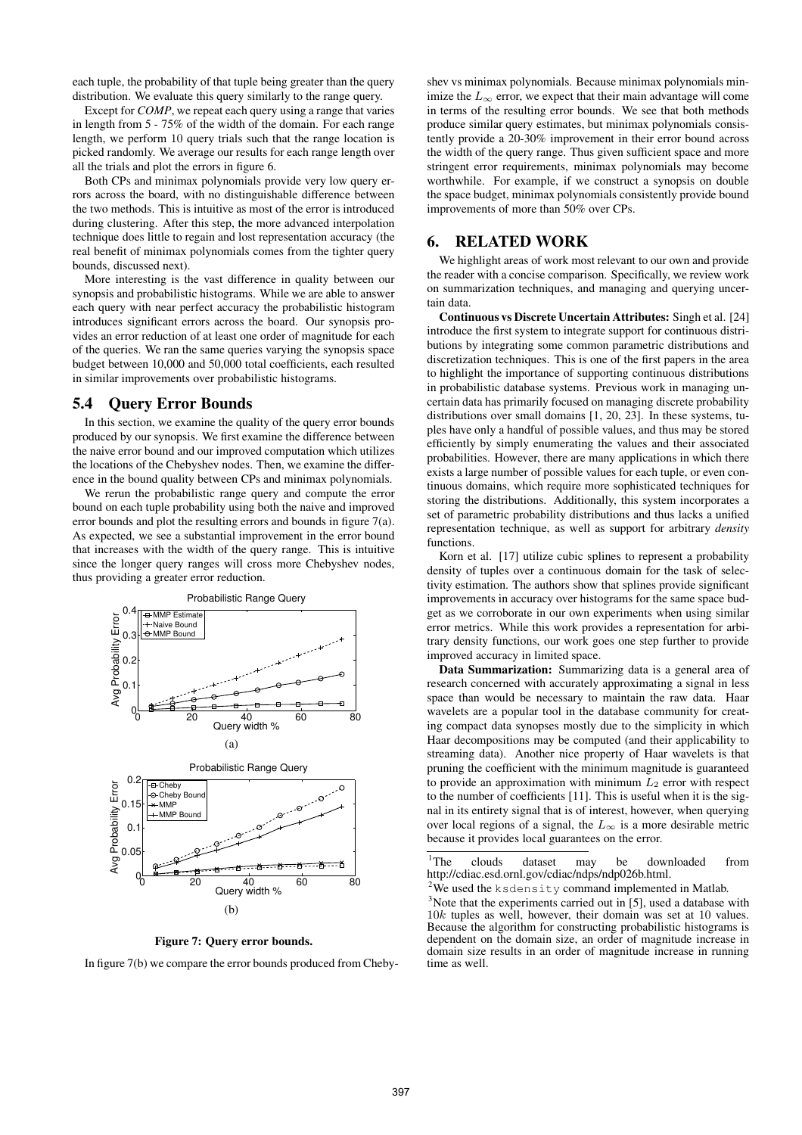each tuple, the probability of that tuple being greater than the query distribution. We evaluate this query similarly to the range query.

Except for *COMP*, we repeat each query using a range that varies in length from 5 - 75% of the width of the domain. For each range length, we perform 10 query trials such that the range location is picked randomly. We average our results for each range length over all the trials and plot the errors in figure 6.

Both CPs and minimax polynomials provide very low query errors across the board, with no distinguishable difference between the two methods. This is intuitive as most of the error is introduced during clustering. After this step, the more advanced interpolation technique does little to regain and lost representation accuracy (the real benefit of minimax polynomials comes from the tighter query bounds, discussed next).

More interesting is the vast difference in quality between our synopsis and probabilistic histograms. While we are able to answer each query with near perfect accuracy the probabilistic histogram introduces significant errors across the board. Our synopsis provides an error reduction of at least one order of magnitude for each of the queries. We ran the same queries varying the synopsis space budget between 10,000 and 50,000 total coefficients, each resulted in similar improvements over probabilistic histograms.

#### **5.4 Query Error Bounds**

In this section, we examine the quality of the query error bounds produced by our synopsis. We first examine the difference between the naive error bound and our improved computation which utilizes the locations of the Chebyshev nodes. Then, we examine the difference in the bound quality between CPs and minimax polynomials.

We rerun the probabilistic range query and compute the error bound on each tuple probability using both the naive and improved error bounds and plot the resulting errors and bounds in figure 7(a). As expected, we see a substantial improvement in the error bound that increases with the width of the query range. This is intuitive since the longer query ranges will cross more Chebyshev nodes, thus providing a greater error reduction.



**Figure 7: Query error bounds.**

In figure 7(b) we compare the error bounds produced from Cheby-

shev vs minimax polynomials. Because minimax polynomials minimize the  $L_{\infty}$  error, we expect that their main advantage will come in terms of the resulting error bounds. We see that both methods produce similar query estimates, but minimax polynomials consistently provide a 20-30% improvement in their error bound across the width of the query range. Thus given sufficient space and more stringent error requirements, minimax polynomials may become worthwhile. For example, if we construct a synopsis on double the space budget, minimax polynomials consistently provide bound improvements of more than 50% over CPs.

# **6. RELATED WORK**

We highlight areas of work most relevant to our own and provide the reader with a concise comparison. Specifically, we review work on summarization techniques, and managing and querying uncertain data.

**Continuous vs Discrete Uncertain Attributes:** Singh et al. [24] introduce the first system to integrate support for continuous distributions by integrating some common parametric distributions and discretization techniques. This is one of the first papers in the area to highlight the importance of supporting continuous distributions in probabilistic database systems. Previous work in managing uncertain data has primarily focused on managing discrete probability distributions over small domains [1, 20, 23]. In these systems, tuples have only a handful of possible values, and thus may be stored efficiently by simply enumerating the values and their associated probabilities. However, there are many applications in which there exists a large number of possible values for each tuple, or even continuous domains, which require more sophisticated techniques for storing the distributions. Additionally, this system incorporates a set of parametric probability distributions and thus lacks a unified representation technique, as well as support for arbitrary *density* functions.

Korn et al. [17] utilize cubic splines to represent a probability density of tuples over a continuous domain for the task of selectivity estimation. The authors show that splines provide significant improvements in accuracy over histograms for the same space budget as we corroborate in our own experiments when using similar error metrics. While this work provides a representation for arbitrary density functions, our work goes one step further to provide improved accuracy in limited space.

**Data Summarization:** Summarizing data is a general area of research concerned with accurately approximating a signal in less space than would be necessary to maintain the raw data. Haar wavelets are a popular tool in the database community for creating compact data synopses mostly due to the simplicity in which Haar decompositions may be computed (and their applicability to streaming data). Another nice property of Haar wavelets is that pruning the coefficient with the minimum magnitude is guaranteed to provide an approximation with minimum  $L_2$  error with respect to the number of coefficients [11]. This is useful when it is the signal in its entirety signal that is of interest, however, when querying over local regions of a signal, the  $L_{\infty}$  is a more desirable metric because it provides local guarantees on the error.

<sup>1</sup>The clouds dataset may be downloaded from http://cdiac.esd.ornl.gov/cdiac/ndps/ndp026b.html.

<sup>2</sup>We used the ksdensity command implemented in Matlab.

 $3$ Note that the experiments carried out in [5], used a database with 10k tuples as well, however, their domain was set at 10 values. Because the algorithm for constructing probabilistic histograms is dependent on the domain size, an order of magnitude increase in domain size results in an order of magnitude increase in running time as well.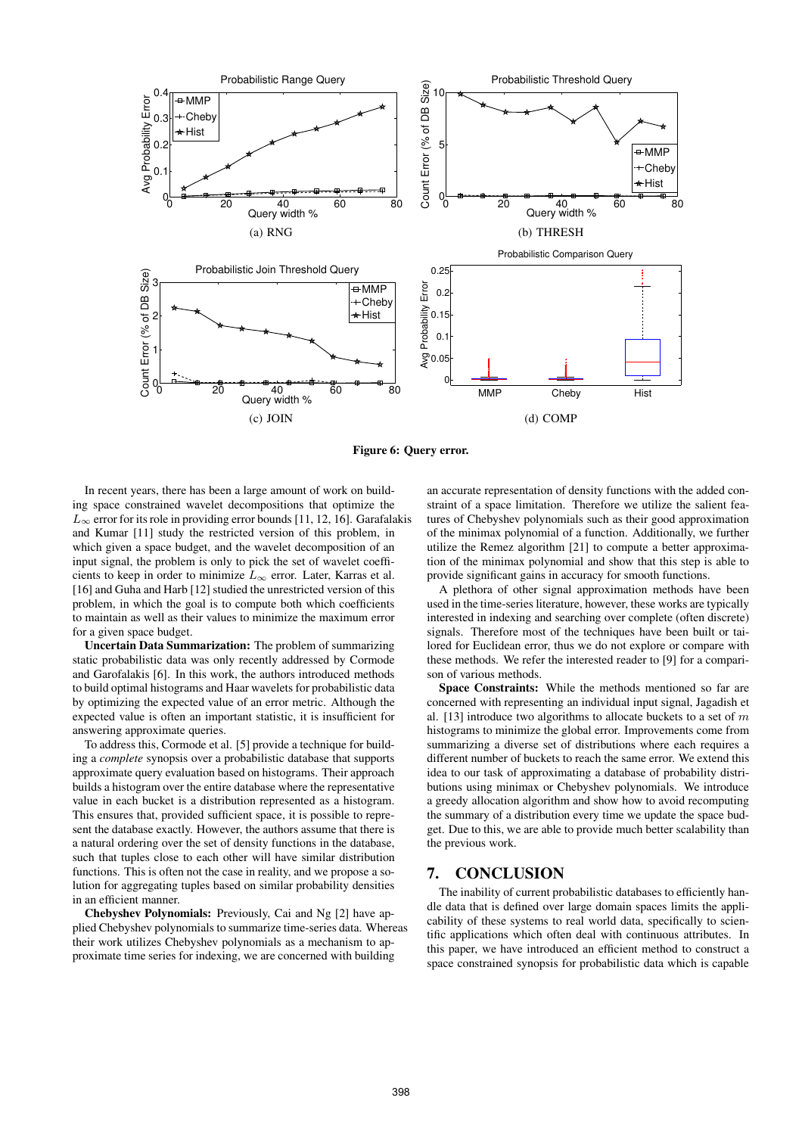

**Figure 6: Query error.**

In recent years, there has been a large amount of work on building space constrained wavelet decompositions that optimize the  $L_{\infty}$  error for its role in providing error bounds [11, 12, 16]. Garafalakis and Kumar [11] study the restricted version of this problem, in which given a space budget, and the wavelet decomposition of an input signal, the problem is only to pick the set of wavelet coefficients to keep in order to minimize  $L_{\infty}$  error. Later, Karras et al. [16] and Guha and Harb [12] studied the unrestricted version of this problem, in which the goal is to compute both which coefficients to maintain as well as their values to minimize the maximum error for a given space budget.

**Uncertain Data Summarization:** The problem of summarizing static probabilistic data was only recently addressed by Cormode and Garofalakis [6]. In this work, the authors introduced methods to build optimal histograms and Haar wavelets for probabilistic data by optimizing the expected value of an error metric. Although the expected value is often an important statistic, it is insufficient for answering approximate queries.

To address this, Cormode et al. [5] provide a technique for building a *complete* synopsis over a probabilistic database that supports approximate query evaluation based on histograms. Their approach builds a histogram over the entire database where the representative value in each bucket is a distribution represented as a histogram. This ensures that, provided sufficient space, it is possible to represent the database exactly. However, the authors assume that there is a natural ordering over the set of density functions in the database, such that tuples close to each other will have similar distribution functions. This is often not the case in reality, and we propose a solution for aggregating tuples based on similar probability densities in an efficient manner.

**Chebyshev Polynomials:** Previously, Cai and Ng [2] have applied Chebyshev polynomials to summarize time-series data. Whereas their work utilizes Chebyshev polynomials as a mechanism to approximate time series for indexing, we are concerned with building

an accurate representation of density functions with the added constraint of a space limitation. Therefore we utilize the salient features of Chebyshev polynomials such as their good approximation of the minimax polynomial of a function. Additionally, we further utilize the Remez algorithm [21] to compute a better approximation of the minimax polynomial and show that this step is able to provide significant gains in accuracy for smooth functions.

A plethora of other signal approximation methods have been used in the time-series literature, however, these works are typically interested in indexing and searching over complete (often discrete) signals. Therefore most of the techniques have been built or tailored for Euclidean error, thus we do not explore or compare with these methods. We refer the interested reader to [9] for a comparison of various methods.

**Space Constraints:** While the methods mentioned so far are concerned with representing an individual input signal, Jagadish et al. [13] introduce two algorithms to allocate buckets to a set of  $m$ histograms to minimize the global error. Improvements come from summarizing a diverse set of distributions where each requires a different number of buckets to reach the same error. We extend this idea to our task of approximating a database of probability distributions using minimax or Chebyshev polynomials. We introduce a greedy allocation algorithm and show how to avoid recomputing the summary of a distribution every time we update the space budget. Due to this, we are able to provide much better scalability than the previous work.

# **7. CONCLUSION**

The inability of current probabilistic databases to efficiently handle data that is defined over large domain spaces limits the applicability of these systems to real world data, specifically to scientific applications which often deal with continuous attributes. In this paper, we have introduced an efficient method to construct a space constrained synopsis for probabilistic data which is capable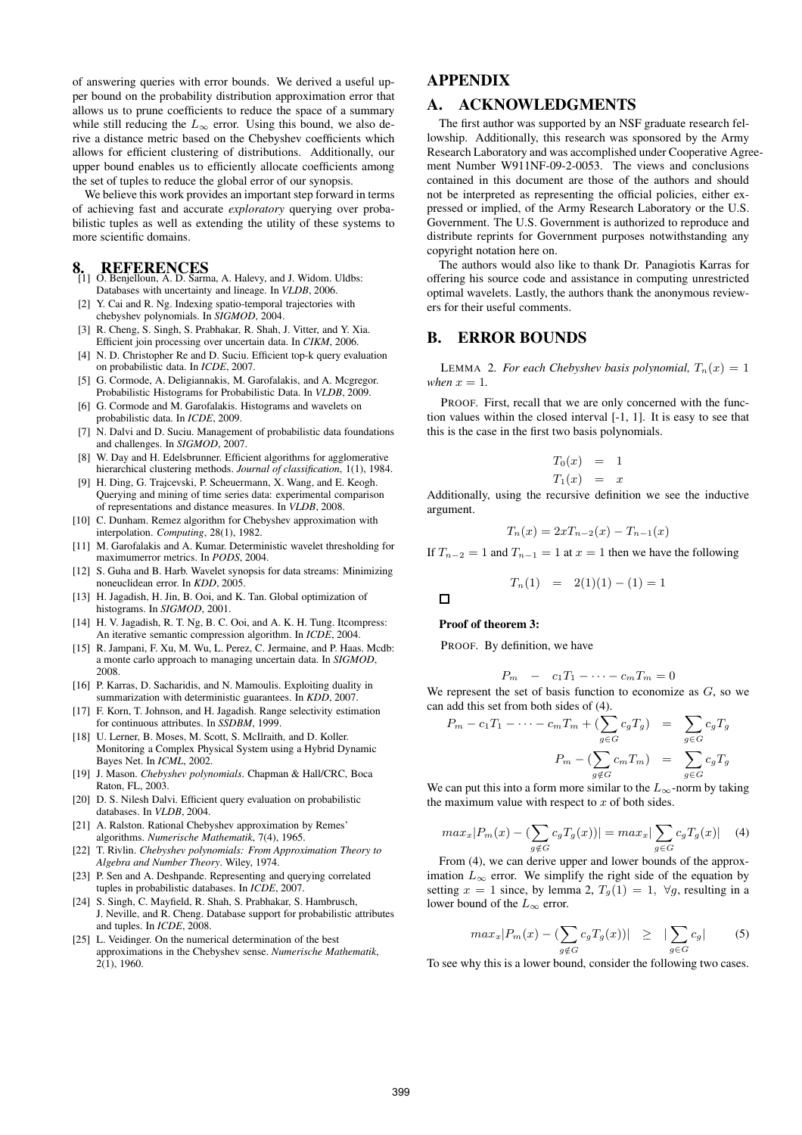of answering queries with error bounds. We derived a useful upper bound on the probability distribution approximation error that allows us to prune coefficients to reduce the space of a summary while still reducing the  $L_{\infty}$  error. Using this bound, we also derive a distance metric based on the Chebyshev coefficients which allows for efficient clustering of distributions. Additionally, our upper bound enables us to efficiently allocate coefficients among the set of tuples to reduce the global error of our synopsis.

We believe this work provides an important step forward in terms of achieving fast and accurate *exploratory* querying over probabilistic tuples as well as extending the utility of these systems to more scientific domains.

- **8. REFERENCES** [1] O. Benjelloun, A. D. Sarma, A. Halevy, and J. Widom. Uldbs: Databases with uncertainty and lineage. In *VLDB*, 2006.
- [2] Y. Cai and R. Ng. Indexing spatio-temporal trajectories with chebyshev polynomials. In *SIGMOD*, 2004.
- [3] R. Cheng, S. Singh, S. Prabhakar, R. Shah, J. Vitter, and Y. Xia. Efficient join processing over uncertain data. In *CIKM*, 2006.
- [4] N. D. Christopher Re and D. Suciu. Efficient top-k query evaluation on probabilistic data. In *ICDE*, 2007.
- [5] G. Cormode, A. Deligiannakis, M. Garofalakis, and A. Mcgregor. Probabilistic Histograms for Probabilistic Data. In *VLDB*, 2009.
- [6] G. Cormode and M. Garofalakis. Histograms and wavelets on probabilistic data. In *ICDE*, 2009.
- [7] N. Dalvi and D. Suciu. Management of probabilistic data foundations and challenges. In *SIGMOD*, 2007.
- [8] W. Day and H. Edelsbrunner. Efficient algorithms for agglomerative hierarchical clustering methods. *Journal of classification*, 1(1), 1984.
- [9] H. Ding, G. Trajcevski, P. Scheuermann, X. Wang, and E. Keogh. Querying and mining of time series data: experimental comparison of representations and distance measures. In *VLDB*, 2008.
- [10] C. Dunham. Remez algorithm for Chebyshev approximation with interpolation. *Computing*, 28(1), 1982.
- [11] M. Garofalakis and A. Kumar. Deterministic wavelet thresholding for maximumerror metrics. In *PODS*, 2004.
- [12] S. Guha and B. Harb. Wavelet synopsis for data streams: Minimizing noneuclidean error. In *KDD*, 2005.
- [13] H. Jagadish, H. Jin, B. Ooi, and K. Tan. Global optimization of histograms. In *SIGMOD*, 2001.
- [14] H. V. Jagadish, R. T. Ng, B. C. Ooi, and A. K. H. Tung. Itcompress: An iterative semantic compression algorithm. In *ICDE*, 2004.
- [15] R. Jampani, F. Xu, M. Wu, L. Perez, C. Jermaine, and P. Haas. Mcdb: a monte carlo approach to managing uncertain data. In *SIGMOD*, 2008.
- [16] P. Karras, D. Sacharidis, and N. Mamoulis. Exploiting duality in summarization with deterministic guarantees. In *KDD*, 2007.
- [17] F. Korn, T. Johnson, and H. Jagadish. Range selectivity estimation for continuous attributes. In *SSDBM*, 1999.
- [18] U. Lerner, B. Moses, M. Scott, S. McIlraith, and D. Koller. Monitoring a Complex Physical System using a Hybrid Dynamic Bayes Net. In *ICML*, 2002.
- [19] J. Mason. *Chebyshev polynomials*. Chapman & Hall/CRC, Boca Raton, FL, 2003.
- [20] D. S. Nilesh Dalvi. Efficient query evaluation on probabilistic databases. In *VLDB*, 2004.
- [21] A. Ralston. Rational Chebyshev approximation by Remes' algorithms. *Numerische Mathematik*, 7(4), 1965.
- [22] T. Rivlin. *Chebyshev polynomials: From Approximation Theory to Algebra and Number Theory*. Wiley, 1974.
- [23] P. Sen and A. Deshpande. Representing and querying correlated tuples in probabilistic databases. In *ICDE*, 2007.
- [24] S. Singh, C. Mayfield, R. Shah, S. Prabhakar, S. Hambrusch, J. Neville, and R. Cheng. Database support for probabilistic attributes and tuples. In *ICDE*, 2008.
- [25] L. Veidinger. On the numerical determination of the best approximations in the Chebyshev sense. *Numerische Mathematik*,  $2(1)$ , 1960.

# **APPENDIX**

# **A. ACKNOWLEDGMENTS**

The first author was supported by an NSF graduate research fellowship. Additionally, this research was sponsored by the Army Research Laboratory and was accomplished under Cooperative Agreement Number W911NF-09-2-0053. The views and conclusions contained in this document are those of the authors and should not be interpreted as representing the official policies, either expressed or implied, of the Army Research Laboratory or the U.S. Government. The U.S. Government is authorized to reproduce and distribute reprints for Government purposes notwithstanding any copyright notation here on.

The authors would also like to thank Dr. Panagiotis Karras for offering his source code and assistance in computing unrestricted optimal wavelets. Lastly, the authors thank the anonymous reviewers for their useful comments.

#### **B. ERROR BOUNDS**

LEMMA 2. For each Chebyshev basis polynomial,  $T_n(x) = 1$ *when*  $x = 1$ .

PROOF. First, recall that we are only concerned with the function values within the closed interval [-1, 1]. It is easy to see that this is the case in the first two basis polynomials.

$$
T_0(x) = 1
$$
  

$$
T_1(x) = x
$$

Additionally, using the recursive definition we see the inductive argument.

$$
T_n(x) = 2xT_{n-2}(x) - T_{n-1}(x)
$$

If  $T_{n-2} = 1$  and  $T_{n-1} = 1$  at  $x = 1$  then we have the following

$$
T_n(1) = 2(1)(1) - (1) = 1
$$

 $\Box$ 

#### **Proof of theorem 3:**

PROOF. By definition, we have

$$
P_m - c_1 T_1 - \cdots - c_m T_m = 0
$$

We represent the set of basis function to economize as  $G$ , so we can add this set from both sides of (4).

$$
P_m - c_1 T_1 - \dots - c_m T_m + \left(\sum_{g \in G} c_g T_g\right) = \sum_{g \in G} c_g T_g
$$

$$
P_m - \left(\sum_{g \notin G} c_m T_m\right) = \sum_{g \in G} c_g T_g
$$

We can put this into a form more similar to the  $L_{\infty}$ -norm by taking the maximum value with respect to  $x$  of both sides.

$$
max_x |P_m(x) - (\sum_{g \notin G} c_g T_g(x))| = max_x |\sum_{g \in G} c_g T_g(x)| \quad (4)
$$

From (4), we can derive upper and lower bounds of the approximation  $L_{\infty}$  error. We simplify the right side of the equation by setting  $x = 1$  since, by lemma 2,  $T_g(1) = 1$ ,  $\forall g$ , resulting in a lower bound of the  $L_{\infty}$  error.

$$
max_x |P_m(x) - (\sum_{g \notin G} c_g T_g(x))| \geq |\sum_{g \in G} c_g|
$$
 (5)

To see why this is a lower bound, consider the following two cases.